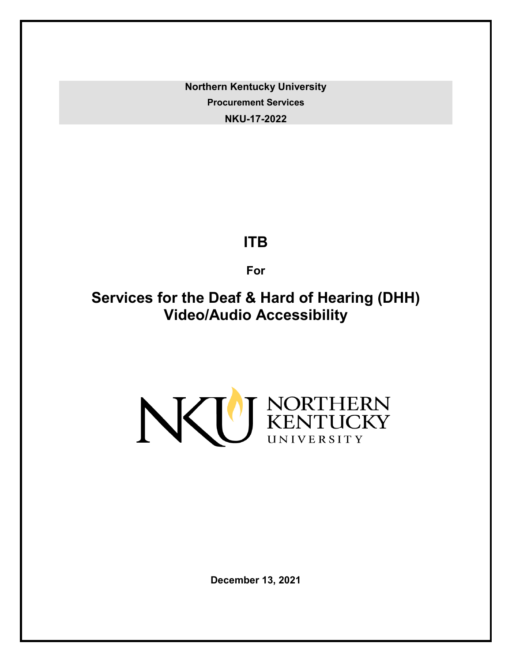**Northern Kentucky University Procurement Services NKU-17-2022**

# **ITB**

**For**

**Services for the Deaf & Hard of Hearing (DHH) Video/Audio Accessibility**



**December 13, 2021**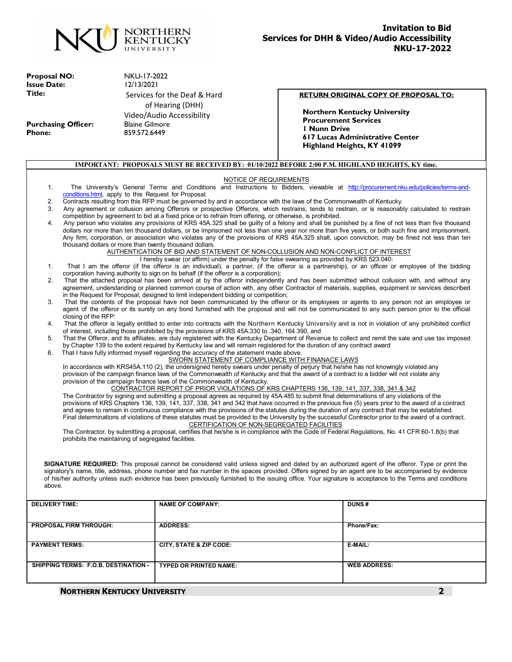

**Proposal NO:** NKU-17-2022<br> **Issue Date:** 12/13/2021 **Issue Date:**<br>Title:

Purchasing Officer:<br>Phone:

Services for the Deaf & Hard of Hearing (DHH) Video/Audio Accessibility **Phone:** 859.572.6449

#### **RETURN ORIGINAL COPY OF PROPOSAL TO:**

**Northern Kentucky University Procurement Services 1 Nunn Drive 617 Lucas Administrative Center Highland Heights, KY 41099**

|                                                                                                                                                                                                                                                                                                          |                                                        | IMPORTANT: PROPOSALS MUST BE RECEIVED BY: 01/10/2022 BEFORE 2:00 P.M. HIGHLAND HEIGHTS, KY time.                                          |  |                                                                                                                                                                                                                                                                                                     |
|----------------------------------------------------------------------------------------------------------------------------------------------------------------------------------------------------------------------------------------------------------------------------------------------------------|--------------------------------------------------------|-------------------------------------------------------------------------------------------------------------------------------------------|--|-----------------------------------------------------------------------------------------------------------------------------------------------------------------------------------------------------------------------------------------------------------------------------------------------------|
|                                                                                                                                                                                                                                                                                                          |                                                        | NOTICE OF REQUIREMENTS                                                                                                                    |  |                                                                                                                                                                                                                                                                                                     |
| 1.                                                                                                                                                                                                                                                                                                       |                                                        |                                                                                                                                           |  | The University's General Terms and Conditions and Instructions to Bidders, viewable at http://procurement.nku.edu/policies/terms-and-                                                                                                                                                               |
|                                                                                                                                                                                                                                                                                                          | conditions.html, apply to this Request for Proposal.   |                                                                                                                                           |  |                                                                                                                                                                                                                                                                                                     |
| 2.                                                                                                                                                                                                                                                                                                       |                                                        | Contracts resulting from this RFP must be governed by and in accordance with the laws of the Commonwealth of Kentucky.                    |  |                                                                                                                                                                                                                                                                                                     |
| 3.                                                                                                                                                                                                                                                                                                       |                                                        |                                                                                                                                           |  | Any agreement or collusion among Offerors or prospective Offerors, which restrains, tends to restrain, or is reasonably calculated to restrain                                                                                                                                                      |
| 4.                                                                                                                                                                                                                                                                                                       |                                                        | competition by agreement to bid at a fixed price or to refrain from offering, or otherwise, is prohibited.                                |  | Any person who violates any provisions of KRS 45A.325 shall be guilty of a felony and shall be punished by a fine of not less than five thousand                                                                                                                                                    |
|                                                                                                                                                                                                                                                                                                          |                                                        |                                                                                                                                           |  | dollars nor more than ten thousand dollars, or be imprisoned not less than one year nor more than five years, or both such fine and imprisonment.<br>Any firm, corporation, or association who violates any of the provisions of KRS 45A.325 shall, upon conviction, may be fined not less than ten |
|                                                                                                                                                                                                                                                                                                          | thousand dollars or more than twenty thousand dollars. |                                                                                                                                           |  |                                                                                                                                                                                                                                                                                                     |
|                                                                                                                                                                                                                                                                                                          |                                                        | AUTHENTICATION OF BID AND STATEMENT OF NON-COLLUSION AND NON-CONFLICT OF INTEREST                                                         |  |                                                                                                                                                                                                                                                                                                     |
|                                                                                                                                                                                                                                                                                                          |                                                        | I hereby swear (or affirm) under the penalty for false swearing as provided by KRS 523.040:                                               |  |                                                                                                                                                                                                                                                                                                     |
| 1.                                                                                                                                                                                                                                                                                                       |                                                        |                                                                                                                                           |  | That I am the offeror (if the offeror is an individual), a partner, (if the offeror is a partnership), or an officer or employee of the bidding                                                                                                                                                     |
|                                                                                                                                                                                                                                                                                                          |                                                        | corporation having authority to sign on its behalf (if the offeror is a corporation);                                                     |  |                                                                                                                                                                                                                                                                                                     |
| 2.                                                                                                                                                                                                                                                                                                       |                                                        |                                                                                                                                           |  | That the attached proposal has been arrived at by the offeror independently and has been submitted without collusion with, and without any<br>agreement, understanding or planned common course of action with, any other Contractor of materials, supplies, equipment or services described        |
|                                                                                                                                                                                                                                                                                                          |                                                        | in the Request for Proposal, designed to limit independent bidding or competition;                                                        |  |                                                                                                                                                                                                                                                                                                     |
| 3.                                                                                                                                                                                                                                                                                                       |                                                        |                                                                                                                                           |  | That the contents of the proposal have not been communicated by the offeror or its employees or agents to any person not an employee or                                                                                                                                                             |
|                                                                                                                                                                                                                                                                                                          |                                                        |                                                                                                                                           |  | agent of the offeror or its surety on any bond furnished with the proposal and will not be communicated to any such person prior to the official                                                                                                                                                    |
|                                                                                                                                                                                                                                                                                                          | closing of the RFP:                                    |                                                                                                                                           |  |                                                                                                                                                                                                                                                                                                     |
| 4.                                                                                                                                                                                                                                                                                                       |                                                        |                                                                                                                                           |  | That the offeror is legally entitled to enter into contracts with the Northern Kentucky University and is not in violation of any prohibited conflict                                                                                                                                               |
|                                                                                                                                                                                                                                                                                                          |                                                        | of interest, including those prohibited by the provisions of KRS 45A.330 to .340, 164.390, and                                            |  |                                                                                                                                                                                                                                                                                                     |
| 5.                                                                                                                                                                                                                                                                                                       |                                                        |                                                                                                                                           |  | That the Offeror, and its affiliates, are duly registered with the Kentucky Department of Revenue to collect and remit the sale and use tax imposed                                                                                                                                                 |
|                                                                                                                                                                                                                                                                                                          |                                                        | by Chapter 139 to the extent required by Kentucky law and will remain registered for the duration of any contract award                   |  |                                                                                                                                                                                                                                                                                                     |
| That I have fully informed myself regarding the accuracy of the statement made above.<br>6.<br>SWORN STATEMENT OF COMPLIANCE WITH FINANACE LAWS                                                                                                                                                          |                                                        |                                                                                                                                           |  |                                                                                                                                                                                                                                                                                                     |
|                                                                                                                                                                                                                                                                                                          |                                                        | In accordance with KRS45A.110 (2), the undersigned hereby swears under penalty of perjury that he/she has not knowingly violated any      |  |                                                                                                                                                                                                                                                                                                     |
|                                                                                                                                                                                                                                                                                                          |                                                        | provision of the campaign finance laws of the Commonwealth of Kentucky and that the award of a contract to a bidder will not violate any  |  |                                                                                                                                                                                                                                                                                                     |
|                                                                                                                                                                                                                                                                                                          |                                                        | provision of the campaign finance laws of the Commonwealth of Kentucky.                                                                   |  |                                                                                                                                                                                                                                                                                                     |
|                                                                                                                                                                                                                                                                                                          |                                                        | CONTRACTOR REPORT OF PRIOR VIOLATIONS OF KRS CHAPTERS 136, 139, 141, 337, 338, 341 & 342                                                  |  |                                                                                                                                                                                                                                                                                                     |
|                                                                                                                                                                                                                                                                                                          |                                                        | The Contractor by signing and submitting a proposal agrees as required by 45A.485 to submit final determinations of any violations of the |  |                                                                                                                                                                                                                                                                                                     |
|                                                                                                                                                                                                                                                                                                          |                                                        |                                                                                                                                           |  | provisions of KRS Chapters 136, 139, 141, 337, 338, 341 and 342 that have occurred in the previous five (5) years prior to the award of a contract                                                                                                                                                  |
|                                                                                                                                                                                                                                                                                                          |                                                        |                                                                                                                                           |  |                                                                                                                                                                                                                                                                                                     |
| and agrees to remain in continuous compliance with the provisions of the statutes during the duration of any contract that may be established.<br>Final determinations of violations of these statutes must be provided to the University by the successful Contractor prior to the award of a contract. |                                                        |                                                                                                                                           |  |                                                                                                                                                                                                                                                                                                     |
| CERTIFICATION OF NON-SEGREGATED FACILITIES                                                                                                                                                                                                                                                               |                                                        |                                                                                                                                           |  |                                                                                                                                                                                                                                                                                                     |
|                                                                                                                                                                                                                                                                                                          |                                                        |                                                                                                                                           |  | The Contractor, by submitting a proposal, certifies that he/she is in compliance with the Code of Federal Regulations, No. 41 CFR 60-1.8(b) that                                                                                                                                                    |
|                                                                                                                                                                                                                                                                                                          | prohibits the maintaining of segregated facilities.    |                                                                                                                                           |  |                                                                                                                                                                                                                                                                                                     |
|                                                                                                                                                                                                                                                                                                          |                                                        |                                                                                                                                           |  |                                                                                                                                                                                                                                                                                                     |
|                                                                                                                                                                                                                                                                                                          |                                                        |                                                                                                                                           |  |                                                                                                                                                                                                                                                                                                     |
|                                                                                                                                                                                                                                                                                                          |                                                        |                                                                                                                                           |  | SIGNATURE REQUIRED: This proposal cannot be considered valid unless signed and dated by an authorized agent of the offeror. Type or print the                                                                                                                                                       |
|                                                                                                                                                                                                                                                                                                          |                                                        |                                                                                                                                           |  | signatory's name, title, address, phone number and fax number in the spaces provided. Offers signed by an agent are to be accompanied by evidence                                                                                                                                                   |
|                                                                                                                                                                                                                                                                                                          |                                                        |                                                                                                                                           |  | of his/her authority unless such evidence has been previously furnished to the issuing office. Your signature is acceptance to the Terms and conditions                                                                                                                                             |
| above.                                                                                                                                                                                                                                                                                                   |                                                        |                                                                                                                                           |  |                                                                                                                                                                                                                                                                                                     |
|                                                                                                                                                                                                                                                                                                          |                                                        |                                                                                                                                           |  |                                                                                                                                                                                                                                                                                                     |
|                                                                                                                                                                                                                                                                                                          |                                                        |                                                                                                                                           |  |                                                                                                                                                                                                                                                                                                     |
| <b>DELIVERY TIME:</b>                                                                                                                                                                                                                                                                                    |                                                        | <b>NAME OF COMPANY:</b>                                                                                                                   |  | DUNS#                                                                                                                                                                                                                                                                                               |
|                                                                                                                                                                                                                                                                                                          |                                                        |                                                                                                                                           |  |                                                                                                                                                                                                                                                                                                     |
|                                                                                                                                                                                                                                                                                                          |                                                        |                                                                                                                                           |  |                                                                                                                                                                                                                                                                                                     |
| PROPOSAL FIRM THROUGH:                                                                                                                                                                                                                                                                                   |                                                        | <b>ADDRESS:</b>                                                                                                                           |  | Phone/Fax:                                                                                                                                                                                                                                                                                          |
|                                                                                                                                                                                                                                                                                                          |                                                        |                                                                                                                                           |  |                                                                                                                                                                                                                                                                                                     |
| <b>PAYMENT TERMS:</b>                                                                                                                                                                                                                                                                                    |                                                        | <b>CITY. STATE &amp; ZIP CODE:</b>                                                                                                        |  | E-MAIL:                                                                                                                                                                                                                                                                                             |

**SHIPPING TERMS: F.O.B. DESTINATION - TYPED OR PRINTED NAME: WEB ADDRESS:**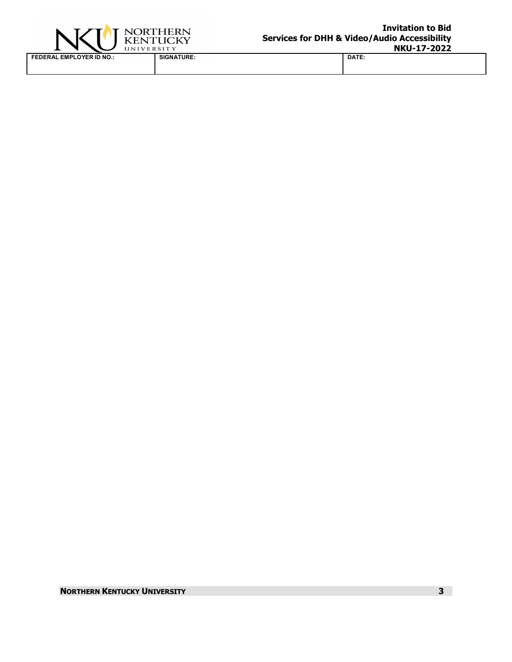

**FEDERAL EMPLOYER ID NO.: SIGNATURE: DATE:**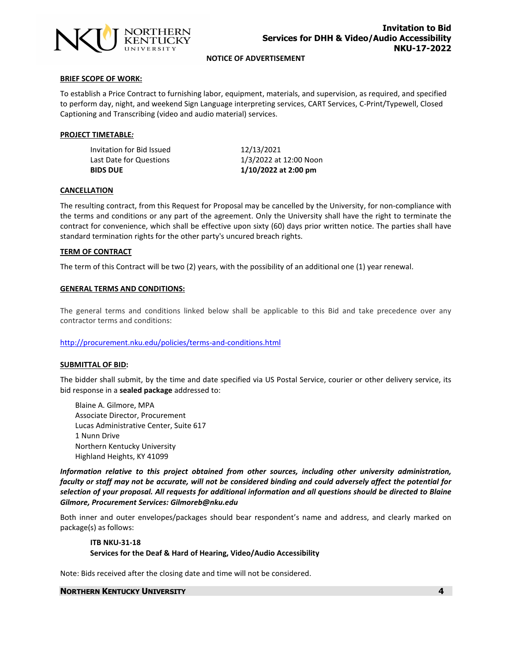

**NOTICE OF ADVERTISEMENT**

#### **BRIEF SCOPE OF WORK:**

To establish a Price Contract to furnishing labor, equipment, materials, and supervision, as required, and specified to perform day, night, and weekend Sign Language interpreting services, CART Services, C-Print/Typewell, Closed Captioning and Transcribing (video and audio material) services.

# **PROJECT TIMETABLE***:*

Invitation for Bid Issued 12/13/2021 Last Date for Questions 1/3/2022 at 12:00 Noon

**BIDS DUE 1/10/2022 at 2:00 pm** 

#### **CANCELLATION**

The resulting contract, from this Request for Proposal may be cancelled by the University, for non-compliance with the terms and conditions or any part of the agreement. Only the University shall have the right to terminate the contract for convenience, which shall be effective upon sixty (60) days prior written notice. The parties shall have standard termination rights for the other party's uncured breach rights.

#### **TERM OF CONTRACT**

The term of this Contract will be two (2) years, with the possibility of an additional one (1) year renewal.

#### **GENERAL TERMS AND CONDITIONS:**

The general terms and conditions linked below shall be applicable to this Bid and take precedence over any contractor terms and conditions:

#### <http://procurement.nku.edu/policies/terms-and-conditions.html>

#### **SUBMITTAL OF BID:**

The bidder shall submit, by the time and date specified via US Postal Service, courier or other delivery service, its bid response in a **sealed package** addressed to:

Blaine A. Gilmore, MPA Associate Director, Procurement Lucas Administrative Center, Suite 617 1 Nunn Drive Northern Kentucky University Highland Heights, KY 41099

*Information relative to this project obtained from other sources, including other university administration, faculty or staff may not be accurate, will not be considered binding and could adversely affect the potential for selection of your proposal. All requests for additional information and all questions should be directed to Blaine Gilmore, Procurement Services: Gilmoreb@nku.edu* 

Both inner and outer envelopes/packages should bear respondent's name and address, and clearly marked on package(s) as follows:

# **ITB NKU-31-18 Services for the Deaf & Hard of Hearing, Video/Audio Accessibility**

Note: Bids received after the closing date and time will not be considered.

#### **NORTHERN KENTUCKY UNIVERSITY 4**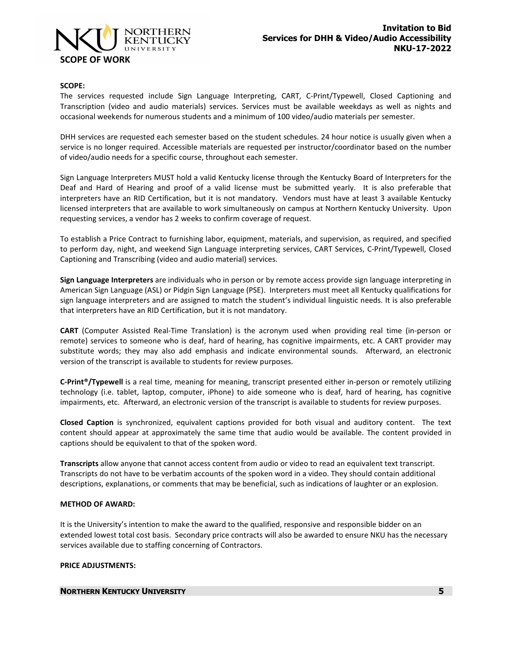

# **SCOPE:**

The services requested include Sign Language Interpreting, CART, C-Print/Typewell, Closed Captioning and Transcription (video and audio materials) services. Services must be available weekdays as well as nights and occasional weekends for numerous students and a minimum of 100 video/audio materials per semester.

DHH services are requested each semester based on the student schedules. 24 hour notice is usually given when a service is no longer required. Accessible materials are requested per instructor/coordinator based on the number of video/audio needs for a specific course, throughout each semester.

Sign Language Interpreters MUST hold a valid Kentucky license through the Kentucky Board of Interpreters for the Deaf and Hard of Hearing and proof of a valid license must be submitted yearly. It is also preferable that interpreters have an RID Certification, but it is not mandatory. Vendors must have at least 3 available Kentucky licensed interpreters that are available to work simultaneously on campus at Northern Kentucky University. Upon requesting services, a vendor has 2 weeks to confirm coverage of request.

To establish a Price Contract to furnishing labor, equipment, materials, and supervision, as required, and specified to perform day, night, and weekend Sign Language interpreting services, CART Services, C-Print/Typewell, Closed Captioning and Transcribing (video and audio material) services.

**Sign Language Interpreters** are individuals who in person or by remote access provide sign language interpreting in American Sign Language (ASL) or Pidgin Sign Language (PSE). Interpreters must meet all Kentucky qualifications for sign language interpreters and are assigned to match the student's individual linguistic needs. It is also preferable that interpreters have an RID Certification, but it is not mandatory.

**CART** (Computer Assisted Real-Time Translation) is the acronym used when providing real time (in-person or remote) services to someone who is deaf, hard of hearing, has cognitive impairments, etc. A CART provider may substitute words; they may also add emphasis and indicate environmental sounds. Afterward, an electronic version of the transcript is available to students for review purposes.

**C-Print®/Typewell** is a real time, meaning for meaning, transcript presented either in-person or remotely utilizing technology (i.e. tablet, laptop, computer, iPhone) to aide someone who is deaf, hard of hearing, has cognitive impairments, etc. Afterward, an electronic version of the transcript is available to students for review purposes.

**Closed Caption** is synchronized, equivalent captions provided for both visual and auditory content. The text content should appear at approximately the same time that audio would be available. The content provided in captions should be equivalent to that of the spoken word.

**Transcripts** allow anyone that cannot access content from audio or video to read an equivalent text transcript. Transcripts do not have to be verbatim accounts of the spoken word in a video. They should contain additional descriptions, explanations, or comments that may be beneficial, such as indications of laughter or an explosion.

# **METHOD OF AWARD:**

It is the University's intention to make the award to the qualified, responsive and responsible bidder on an extended lowest total cost basis. Secondary price contracts will also be awarded to ensure NKU has the necessary services available due to staffing concerning of Contractors.

# **PRICE ADJUSTMENTS:**

# **NORTHERN KENTUCKY UNIVERSITY 5**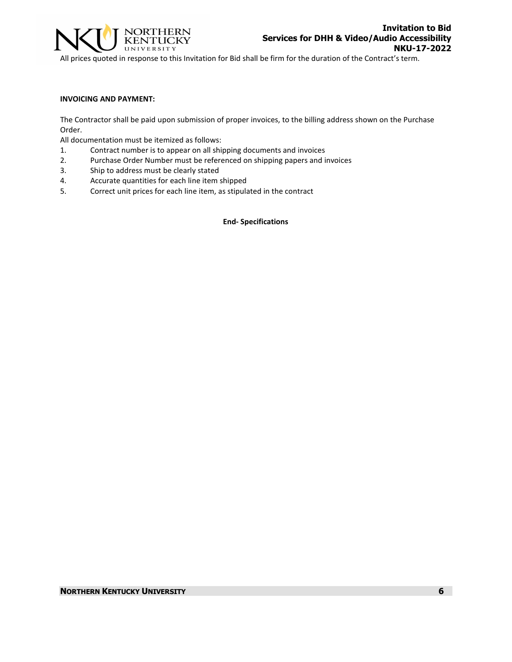

All prices quoted in response to this Invitation for Bid shall be firm for the duration of the Contract's term.

#### **INVOICING AND PAYMENT:**

The Contractor shall be paid upon submission of proper invoices, to the billing address shown on the Purchase Order.

All documentation must be itemized as follows:

- 1. Contract number is to appear on all shipping documents and invoices
- 2. Purchase Order Number must be referenced on shipping papers and invoices
- 3. Ship to address must be clearly stated
- 4. Accurate quantities for each line item shipped
- 5. Correct unit prices for each line item, as stipulated in the contract

**End- Specifications**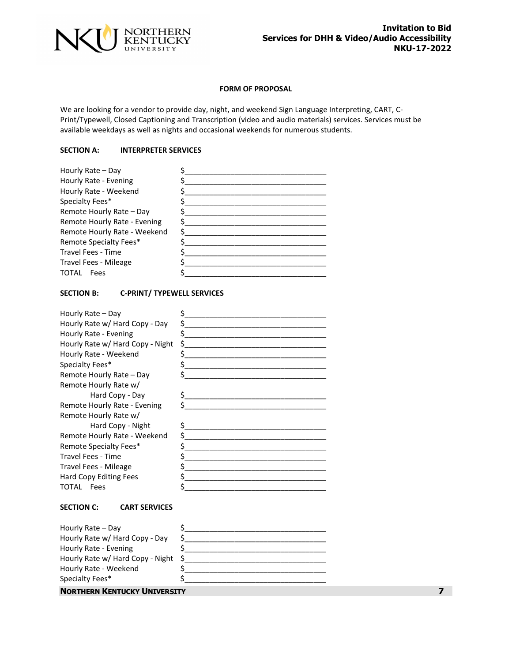

# **FORM OF PROPOSAL**

We are looking for a vendor to provide day, night, and weekend Sign Language Interpreting, CART, C-Print/Typewell, Closed Captioning and Transcription (video and audio materials) services. Services must be available weekdays as well as nights and occasional weekends for numerous students.

# **SECTION A: INTERPRETER SERVICES**

| Hourly Rate - Day            |  |
|------------------------------|--|
| Hourly Rate - Evening        |  |
| Hourly Rate - Weekend        |  |
| Specialty Fees*              |  |
| Remote Hourly Rate - Day     |  |
| Remote Hourly Rate - Evening |  |
| Remote Hourly Rate - Weekend |  |
| Remote Specialty Fees*       |  |
| <b>Travel Fees - Time</b>    |  |
| Travel Fees - Mileage        |  |
| TOTAL<br>Fees                |  |

# **SECTION B: C-PRINT/ TYPEWELL SERVICES**

| Hourly Rate – Day                |   |
|----------------------------------|---|
| Hourly Rate w/ Hard Copy - Day   |   |
| Hourly Rate - Evening            | ς |
| Hourly Rate w/ Hard Copy - Night | Ś |
| Hourly Rate - Weekend            |   |
| Specialty Fees*                  |   |
| Remote Hourly Rate - Day         |   |
| Remote Hourly Rate w/            |   |
| Hard Copy - Day                  |   |
| Remote Hourly Rate - Evening     |   |
| Remote Hourly Rate w/            |   |
| Hard Copy - Night                |   |
| Remote Hourly Rate - Weekend     |   |
| Remote Specialty Fees*           |   |
| Travel Fees - Time               |   |
| Travel Fees - Mileage            |   |
| Hard Copy Editing Fees           |   |
| TOTAL<br>Fees                    |   |

# **SECTION C: CART SERVICES**

| <b>NORTHERN KENTUCKY UNIVERSITY</b> |  |
|-------------------------------------|--|
| Specialty Fees*                     |  |
| Hourly Rate - Weekend               |  |
| Hourly Rate w/ Hard Copy - Night \$ |  |
| Hourly Rate - Evening               |  |
| Hourly Rate w/ Hard Copy - Day      |  |
| Hourly Rate - Day                   |  |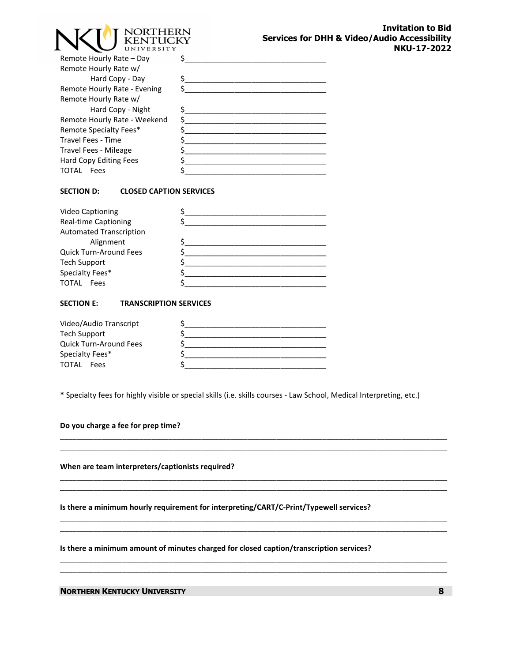| JORTHERN<br><b>KENTHCKY</b><br>UNIVERSITY | <b>Services for DH</b> |
|-------------------------------------------|------------------------|
|                                           |                        |
|                                           |                        |
|                                           |                        |
|                                           |                        |
|                                           |                        |
|                                           |                        |
|                                           |                        |
|                                           |                        |
|                                           |                        |
|                                           |                        |
|                                           |                        |
|                                           |                        |
|                                           |                        |

# **SECTION D: CLOSED CAPTION SERVICES**

| <b>Video Captioning</b>        |  |
|--------------------------------|--|
| <b>Real-time Captioning</b>    |  |
| <b>Automated Transcription</b> |  |
| Alignment                      |  |
| Quick Turn-Around Fees         |  |
| <b>Tech Support</b>            |  |
| Specialty Fees*                |  |
| <b>TOTAL</b><br>Fees           |  |

# **SECTION E: TRANSCRIPTION SERVICES**

| Video/Audio Transcript        |  |
|-------------------------------|--|
| Tech Support                  |  |
| <b>Quick Turn-Around Fees</b> |  |
| Specialty Fees*               |  |
| TOTAL<br>Fees                 |  |

**\*** Specialty fees for highly visible or special skills (i.e. skills courses - Law School, Medical Interpreting, etc.)

\_\_\_\_\_\_\_\_\_\_\_\_\_\_\_\_\_\_\_\_\_\_\_\_\_\_\_\_\_\_\_\_\_\_\_\_\_\_\_\_\_\_\_\_\_\_\_\_\_\_\_\_\_\_\_\_\_\_\_\_\_\_\_\_\_\_\_\_\_\_\_\_\_\_\_\_\_\_\_\_\_\_\_\_\_\_\_\_\_\_\_\_\_ \_\_\_\_\_\_\_\_\_\_\_\_\_\_\_\_\_\_\_\_\_\_\_\_\_\_\_\_\_\_\_\_\_\_\_\_\_\_\_\_\_\_\_\_\_\_\_\_\_\_\_\_\_\_\_\_\_\_\_\_\_\_\_\_\_\_\_\_\_\_\_\_\_\_\_\_\_\_\_\_\_\_\_\_\_\_\_\_\_\_\_\_\_

\_\_\_\_\_\_\_\_\_\_\_\_\_\_\_\_\_\_\_\_\_\_\_\_\_\_\_\_\_\_\_\_\_\_\_\_\_\_\_\_\_\_\_\_\_\_\_\_\_\_\_\_\_\_\_\_\_\_\_\_\_\_\_\_\_\_\_\_\_\_\_\_\_\_\_\_\_\_\_\_\_\_\_\_\_\_\_\_\_\_\_\_\_ \_\_\_\_\_\_\_\_\_\_\_\_\_\_\_\_\_\_\_\_\_\_\_\_\_\_\_\_\_\_\_\_\_\_\_\_\_\_\_\_\_\_\_\_\_\_\_\_\_\_\_\_\_\_\_\_\_\_\_\_\_\_\_\_\_\_\_\_\_\_\_\_\_\_\_\_\_\_\_\_\_\_\_\_\_\_\_\_\_\_\_\_\_

\_\_\_\_\_\_\_\_\_\_\_\_\_\_\_\_\_\_\_\_\_\_\_\_\_\_\_\_\_\_\_\_\_\_\_\_\_\_\_\_\_\_\_\_\_\_\_\_\_\_\_\_\_\_\_\_\_\_\_\_\_\_\_\_\_\_\_\_\_\_\_\_\_\_\_\_\_\_\_\_\_\_\_\_\_\_\_\_\_\_\_\_\_ \_\_\_\_\_\_\_\_\_\_\_\_\_\_\_\_\_\_\_\_\_\_\_\_\_\_\_\_\_\_\_\_\_\_\_\_\_\_\_\_\_\_\_\_\_\_\_\_\_\_\_\_\_\_\_\_\_\_\_\_\_\_\_\_\_\_\_\_\_\_\_\_\_\_\_\_\_\_\_\_\_\_\_\_\_\_\_\_\_\_\_\_\_

\_\_\_\_\_\_\_\_\_\_\_\_\_\_\_\_\_\_\_\_\_\_\_\_\_\_\_\_\_\_\_\_\_\_\_\_\_\_\_\_\_\_\_\_\_\_\_\_\_\_\_\_\_\_\_\_\_\_\_\_\_\_\_\_\_\_\_\_\_\_\_\_\_\_\_\_\_\_\_\_\_\_\_\_\_\_\_\_\_\_\_\_\_ \_\_\_\_\_\_\_\_\_\_\_\_\_\_\_\_\_\_\_\_\_\_\_\_\_\_\_\_\_\_\_\_\_\_\_\_\_\_\_\_\_\_\_\_\_\_\_\_\_\_\_\_\_\_\_\_\_\_\_\_\_\_\_\_\_\_\_\_\_\_\_\_\_\_\_\_\_\_\_\_\_\_\_\_\_\_\_\_\_\_\_\_\_

**Do you charge a fee for prep time?**

**When are team interpreters/captionists required?**

**Is there a minimum hourly requirement for interpreting/CART/C-Print/Typewell services?**

**Is there a minimum amount of minutes charged for closed caption/transcription services?**

**NORTHERN KENTUCKY UNIVERSITY 8**